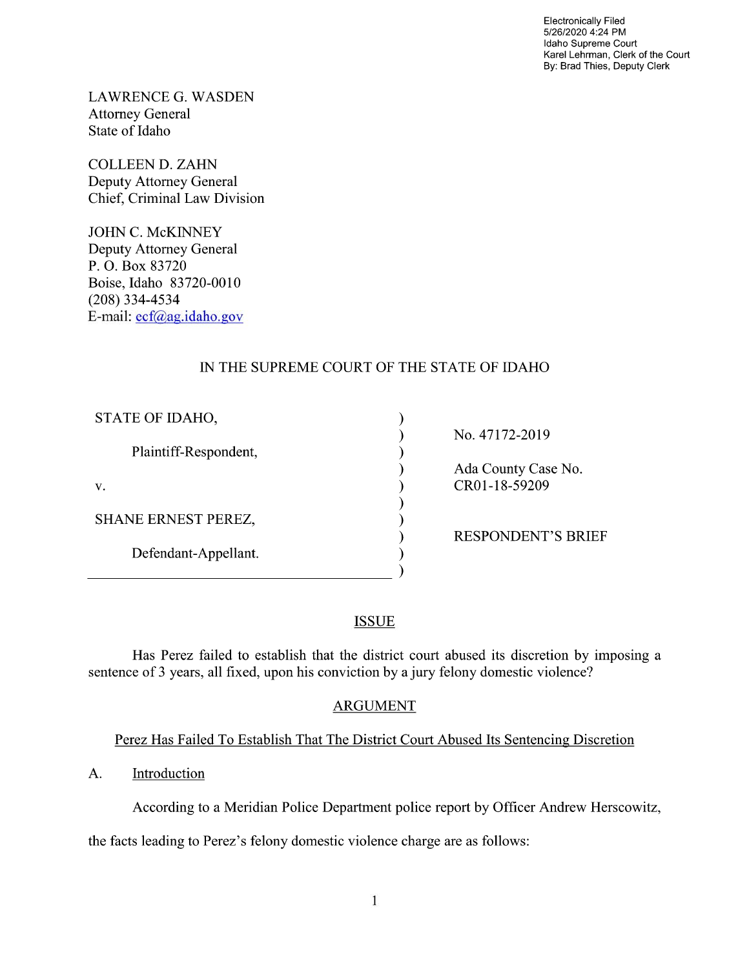Electronically Filed 5/26/2020 4:24 PM Idaho Supreme Court Karel Lehrman, Clerk of the Court By: Brad Thies, Deputy Clerk

LAWRENCE G. WASDEN Attorney General State of Idaho

COLLEEN D. ZAHN Deputy Attorney General Chief, Criminal Law Division

JOHN C. McKINNEY Deputy Attorney General P. O. Box 83720 Boise, Idaho 83720-00 (208) 334—4534 E—mail: ecf@ag.idaho.gov

# IN THE SUPREME COURT OF THE STATE OF IDAHO

 $\mathcal{E}$  $\mathcal{E}$  $\mathcal{E}$  $\mathcal{E}$ 

ſ  $\mathcal{E}$ 

| STATE OF IDAHO,            |  |
|----------------------------|--|
| Plaintiff-Respondent,      |  |
| V.                         |  |
| <b>SHANE ERNEST PEREZ,</b> |  |
| Defendant-Appellant.       |  |
|                            |  |

No. 47172-2019

Ada County Case No.  $CR01-18-59209$ 

RESPONDENT'S BRIEF

## **ISSUE**

Has Perez failed to establish that the district court abused its discretion by imposing a sentence of 3 years, all fixed, upon his conviction by a jury felony domestic violence?

## ARGUMENT

# Perez Has Failed To Establish That The District Court Abused Its Sentencing Discretion

A. Introduction

According to a Meridian Police Department police report by Officer Andrew Herscowitz,

the facts leading to Perez's felony domestic Violence charge are as follows: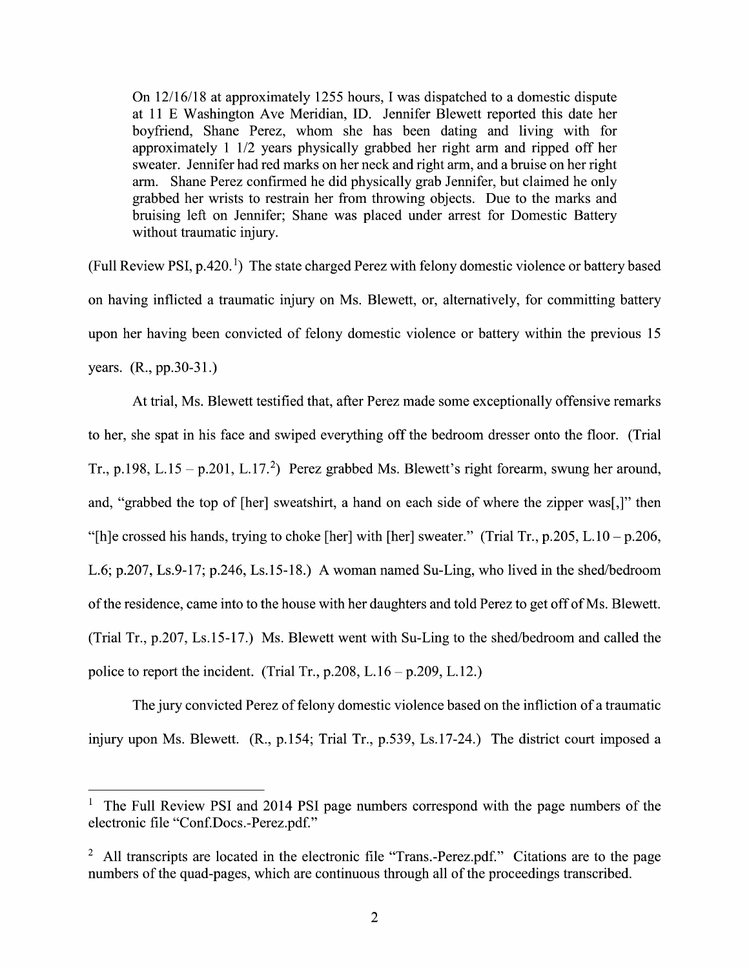On  $12/16/18$  at approximately 1255 hours, I was dispatched to a domestic dispute at 11 Washington Ave Meridian, ID. Jennifer Blewett reported this date her boyfriend, Shane Perez, whom she has been dating and living With for approximately  $1/2$  years physically grabbed her right arm and ripped off her sweater. Jennifer had red marks on her neck and right arm, and bruise on her right arm. Shane Perez confirmed he did physically grab Jennifer, but claimed he only grabbed her wrists to restrain her from throwing objects. Due to the marks and bruising left 0n Jennifer; Shane was placed under arrest for Domestic Battery without traumatic injury.

(Full Review PSI,  $p.420<sup>1</sup>$ ) The state charged Perez with felony domestic violence or battery based on having inflicted a traumatic injury on Ms. Blewett, or, alternatively, for committing battery upon her having been convicted of felony domestic violence or battery within the previous 15 years. (R., pp.30-31.)

At trial, Ms. Blewett testified that, after Perez made some exceptionally offensive remarks t0 her, she spat in his face and swiped everything off the bedroom dresser onto the floor. (Trial Tr., p.198, L.15 - p.201, L.17.<sup>2</sup>) Perez grabbed Ms. Blewett's right forearm, swung her around, and, "grabbed the top of [her] sweatshirt, a hand on each side of where the zipper was[,]" then "[h]e crossed his hands, trying to choke [her] with [her] sweater." (Trial Tr., p.205, L.10 – p.206, L.6; p.207, Ls.9-17; p.246, Ls.15-18.) A woman named Su-Ling, who lived in the shed/bedroom of the residence, came into to the house with her daughters and told Perez to get off of Ms. Blewett. (Trial Tr.,  $p.207$ , Ls.15-17.) Ms. Blewett went with Su-Ling to the shed/bedroom and called the police to report the incident. (Trial Tr.,  $p.208$ , L.16 –  $p.209$ , L.12.)

The jury convicted Perez of felony domestic violence based on the infliction of a traumatic injury upon Ms. Blewett. (R., p.154; Trial Tr., p.539, Ls.17-24.) The district court imposed a

<sup>&</sup>lt;sup>1</sup> The Full Review PSI and 2014 PSI page numbers correspond with the page numbers of the electronic file "Conf.Docs.-Perez.pdf."

<sup>&</sup>lt;sup>2</sup> All transcripts are located in the electronic file "Trans.-Perez.pdf." Citations are to the page numbers of the quad-pages, which are continuous through all of the proceedings transcribed.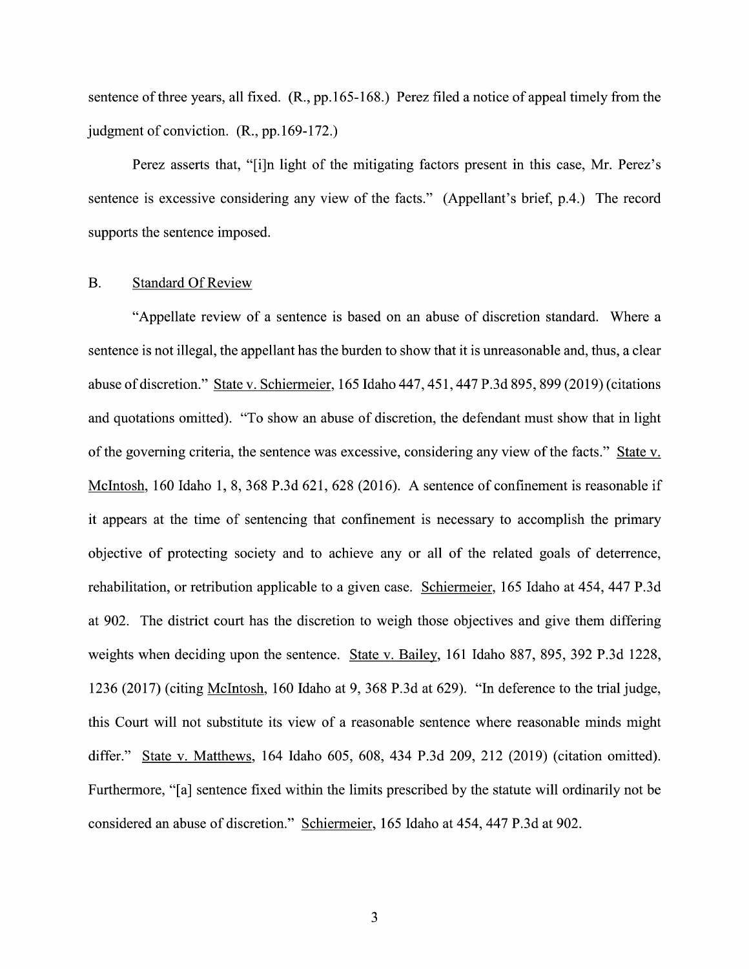sentence of three years, all fixed. (R., pp.165-168.) Perez filed a notice of appeal timely from the judgment 0f conviction. (R., pp.169-172.)

Perez asserts that, "[i]n light of the mitigating factors present in this case, Mr. Perez's sentence is excessive considering any view of the facts." (Appellant's brief, p.4.) The record supports the sentence imposed.

### B. Standard Of Review

"Appellate review of a sentence is based on an abuse of discretion standard. Where a sentence is not illegal, the appellant has the burden to show that it is unreasonable and, thus, a clear abuse of discretion." State v. Schiermeier, 165 Idaho 447, 451, 447 P.3d 895, 899 (2019) (citations and quotations omitted). "To show an abuse of discretion, the defendant must show that in light of the governing criteria, the sentence was excessive, considering any view of the facts." State v. McIntosh, 160 Idaho 1, 8, 368 P.3d 621, 628 (2016). A sentence of confinement is reasonable if it appears at the time of sentencing that confinement is necessary to accomplish the primary objective of protecting society and to achieve any or all of the related goals of deterrence, rehabilitation, or retribution applicable to a given case. Schiermeier, 165 Idaho at 454, 447 P.3d at 902. The district court has the discretion to weigh those objectives and give them differing weights when deciding upon the sentence. State v. Bailey, 161 Idaho 887, 895, 392 P.3d 1228, 1236 (2017) (citing McIntosh, 160 Idaho at 9, 368 P.3d at 629). "In deference t0 the trial judge, this Court will not substitute its view of a reasonable sentence where reasonable minds might differ." State v. Matthews, 164 Idaho 605, 608, 434 P.3d 209, 212 (2019) (citation omitted). Furthermore, "[a] sentence fixed Within the limits prescribed by the statute will ordinarily not be considered an abuse 0f discretion." Schiermeier, 165 Idaho at 454, 447 P.3d at 902.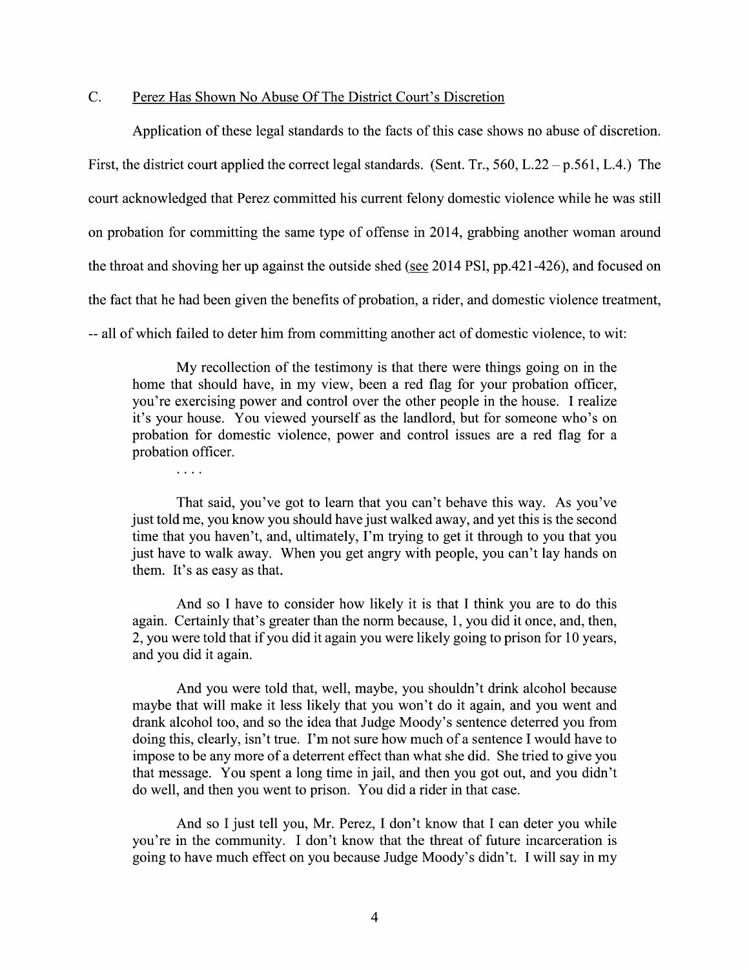### C. Perez Has Shown No Abuse Of The District Court's Discretion

 $\cdots$ 

Application of these legal standards to the facts of this case shows no abuse of discretion. First, the district court applied the correct legal standards. (Sent. Tr., 560, L.22 –  $p.561$ , L.4.) The court acknowledged that Perez committed his current felony domestic Violence while he was still 0n probation for committing the same type 0f offense in 2014, grabbing another woman around the throat and shoving her up against the outside shed (see 2014 PSI, pp.421-426), and focused on the fact that he had been given the benefits of probation, a rider, and domestic violence treatment, -- all of which failed to deter him from committing another act of domestic violence, to wit:

My recollection 0f the testimony is that there were things going on in the home that should have, in my view, been a red flag for your probation officer, you're exercising power and control over the other people in the house. I realize it's your house. You viewed yourself as the landlord, but for someone who's on probation for domestic violence, power and control issues are a red flag for a probation officer.

That said, you've got to learn that you can't behave this way. As you've just told me, you know you should have just walked away, and yet this is the second time that you haven't, and, ultimately, I'm trying to get it through to you that you just have to walk away. When you get angry with people, you can't lay hands on them. It's as easy as that.

And so I have to consider how likely it is that I think you are to do this again. Certainly that's greater than the norm because, 1, you did it once, and, then, 2, you were told that if you did it again you were likely going to prison for 10 years, and you did it again.

And you were told that, well, maybe, you shouldn't drink alcohol because maybe that will make it less likely that you won't do it again, and you went and drank alcohol too, and so the idea that Judge Moody's sentence deterred you from doing this, clearly, isn't true. I'm not sure how much of a sentence I would have to impose t0 be any more of deterrent effect than what she did. She tried to give you that message. You spent a long time in jail, and then you got out, and you didn't do well, and then you went to prison. You did a rider in that case.

And so I just tell you, Mr. Perez, I don't know that I can deter you while you're in the community. I don't know that the threat of future incarceration is going to have much effect on you because Judge Moody's didn't. Iwill say in my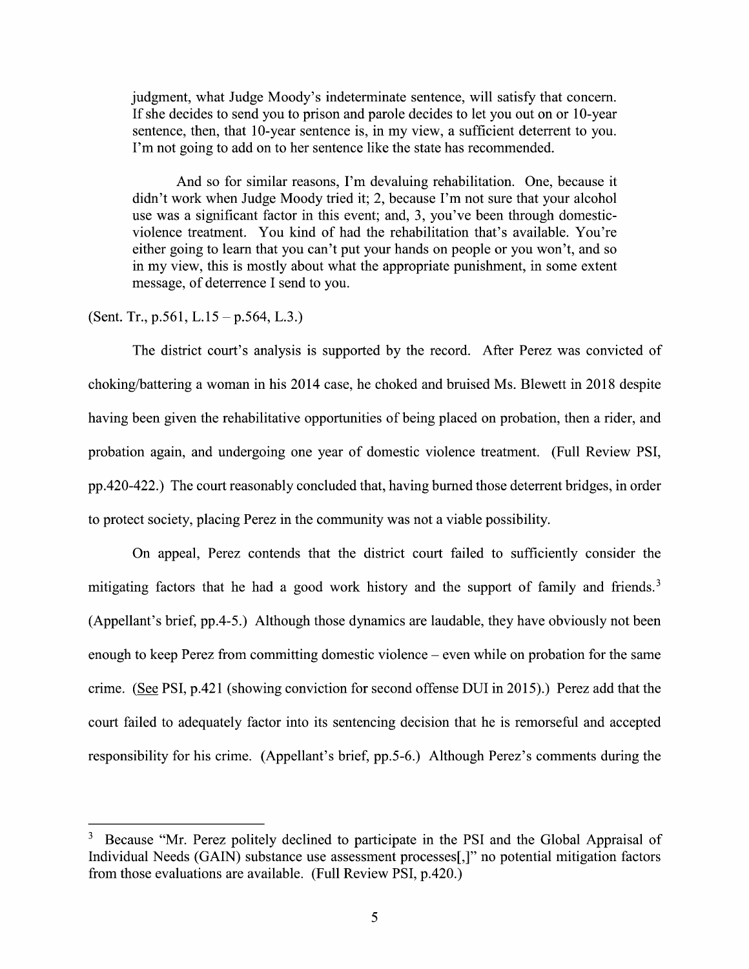judgment, what Judge Moody's indeterminate sentence, will satisfy that concern. If she decides to send you to prison and parole decides to let you out on or 10-year sentence, then, that 10-year sentence is, in my view, a sufficient deterrent to you. I'm not going to add 0n to her sentence like the state has recommended.

And so for similar reasons, I'm devaluing rehabilitation. One, because it didn't work when Judge Moody tried it; 2, because I'm not sure that your alcohol use was a significant factor in this event; and, 3, you've been through domesticviolence treatment. You kind of had the rehabilitation that's available. You're either going to learn that you can't put your hands on people or you won't, and so in my View, this is mostly about What the appropriate punishment, in some extent message, of deterrence I send to you.

(Sent. Tr., p.561, L.15 – p.564, L.3.)

The district court's analysis is supported by the record. After Perez was convicted of choking/battering woman in his <sup>2014</sup> case, he choked and bruised Ms. Blewett in <sup>2018</sup> despite having been given the rehabilitative opportunities of being placed on probation, then a rider, and probation again, and undergoing one year 0f domestic Violence treatment. (Full Review PSI, pp.420-422.) The court reasonably concluded that, having burned those deterrent bridges, in order to protect society, placing Perez in the community was not a viable possibility.

On appeal, Perez contends that the district court failed to sufficiently consider the mitigating factors that he had a good work history and the support of family and friends.<sup>3</sup> (Appellant's brief, pp.4-5.) Although those dynamics are laudable, they have obviously not been enough to keep Perez from committing domestic violence  $-$  even while on probation for the same crime. (See PSI, p.421 (showing conviction for second offense DUI in 2015).) Perez add that the court failed to adequately factor into its sentencing decision that he is remorseful and accepted responsibility for his crime. (Appellant's brief, pp.5-6.) Although Perez's comments during the

<sup>&</sup>lt;sup>3</sup> Because "Mr. Perez politely declined to participate in the PSI and the Global Appraisal of Individual Needs (GAIN) substance use assessment processes[,]" no potential mitigation factors from those evaluations are available. (Full Review PSI, p.420.)